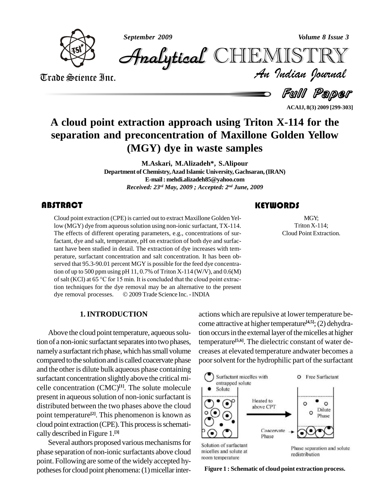

*September 2009 Volume 8 Issue 3*

*Volume 8 Issue 3*<br>IISTRY<br>*Indian Iournal* CHEMISTRY

Trade Science Inc. Trade Science Inc.

Full Paper

**ACAIJ, 8(3) 2009 [299-303]**

## **A cloud point extraction approach using Triton X-114 for the separation and preconcentration of Maxillone Golden Yellow (MGY) dye in waste samples**

**M.Askari, M.Alizadeh\*, S.Alipour Department of Chemistry,Azad Islamic University,Gachsaran,(IRAN) E-mail: [mehdi.alizadeh85@yahoo.com](mailto:mehdi.alizadeh85@yahoo.com)** *Received: 23 rd May, 2009 ; Accepted: 2 nd June, 2009*

## **ABSTRACT**

Cloud point extraction (C<br>low (MGY) dye from aqu<br>The effects of different Cloud point extraction (CPE) is carried out to extract Maxillone Golden Yellow (MGY) dye from aqueous solution using non-ionic surfactant, TX-114. The effects of different operating parameters, e.g., concentrations of surfactant, dye and salt, temperature,  $pH$  on extraction of both dye and surfactant have been studied in detail. The extraction of dye increases with tem perature, surfactant concentration and salt concentration. It has been ob served that 95.3-90.01 percent MGY is possible for the feed dye concentration of up to 500 ppm using pH  $11,0.7\%$  of Triton X-114 (W/V), and  $0.6(M)$ served that 95.3-90.01 percent MGY is possible for the feed dye concentra-<br>tion of up to 500 ppm using pH 11, 0.7% of Triton X-114 (W/V), and 0.6(M)<br>of salt (KCl) at 65 °C for 15 min. It is concluded that the cloud point tion techniques for the dye removal may be an alternative to the present of salt (KCl) at 65 °C for 15 min. It is concluded that the cloud point extraction techniques for the dye removal may be an alternative to the present dye removal processes.  $\circ$  2009 Trade Science Inc. - INDIA

## **KEYWORDS**

MGY;<br>Triton X-114;<br>Cloud Point Extraction. MGY; Triton X-114;

## **1.INTRODUCTION**

Above the cloud point temperature, aqueous solution of a non-ionic surfactant separates into two phases, namely a surfactant rich phase, which has small volume compared tothe solution and is called coacervate phase and the other is dilute bulk aqueous phase containing surfactant concentration slightlyabove the critical mi celle concentration  $(CMC)^{[1]}$ . The solute molecule  $\Box$ present in aqueous solution of non-ionic surfactant is distributed between the two phases above the cloud point temperature<sup>[2]</sup>. This phenomenon is known as  $\bigcap_{n=1}^{\infty}$ cloud point extraction (CPE).This processisschemati cally described in Figure 1. **[3]**

Several authors proposed various mechanisms for solution of surfactant phase separation of non-ionic surfactants above cloud micelles and solute at  $\sum_{n=1}^{\infty}$ point. Following are some of the widely accepted hy potheses for cloud point phenomena: (1) micellar inter-

actions which are repulsive at lower temperature be come attractive at higher temperature<sup>[4,5]</sup>; (2) dehydration occurs in the external layer of the micelles at higher temperature **[5,6]**. The dielectric constant of water de creases at elevated temperature andwater becomes a poor solvent for the hydrophilic part of the surfactant



**Figure 1 : Schematic of cloud point extraction process.**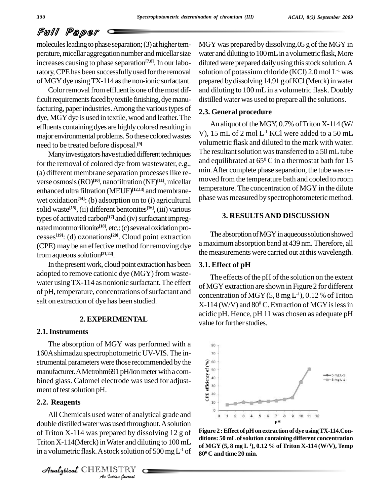## Full Paper

molecules leading to phase separation;  $(3)$  at higher temperature, micellar aggregation number and micellar size increases causing to phase separation **[7,8]**. In our laboratory,CPEhas been successfullyused forthe removal of MGY dye using TX-114 as the non-ionic surfactant.

Color removal from effluent is one of the most difficult requirements faced by textile finishing, dye manufacturing, paper industries. Among the various types of dye, MGY dye is used in textile, wood and leather. The effluents containing dyes are highly colored resulting in major environmental problems. So these colored wastes need to be treated before disposal. **[9]**

Many investigators have studied different techniques for the removal of colored dye from wastewater, e.g., (a) different membrane separation processeslike re verse osmosis(RO) **[10]**, nanofiltration (NF) **[11]**,micellar enhanced ultra filtration (MEUF)<sup>[12,13]</sup> and membranewet oxidation<sup>[14]</sup>: (b) adsorption on to (i) agricultural P<sup>n</sup> solid waste **[15]**,(ii) different bentonites **[16]**,(iii) various types of activated carbon<sup>[17]</sup> and (iv) surfactant impregnated montmorillonite<sup>[18]</sup>, etc.: (c) several oxidation processes **[19]**: (d) ozonations **[20]**. Cloud point extraction (CPE) may be an effective method for removing dye from aqueous solution<sup>[21,22]</sup>.

In the present work, cloud point extraction has been adopted to remove cationic dye (MGY) from waste water using TX-114 as nonionic surfactant. The effect of pH, temperature, concentrations of surfactant and salt on extraction of dye has been studied.

### **2. EXPERIMENTAL**

#### **2.1.Instruments**

The absorption of MGY was performed with a 160Ashimadzu spectrophotometric UV-VIS.The in strumental parameters were those recommended by the  $\frac{1}{8}$   $\frac{60}{100}$  manufacturer. A Metrohm601 nH/Ion meter with a com manufacturer. A Metrohm691 pH/Ion meter with a combined glass. Calomel electrode was used for adjust ment of test solution pH.

## **2.2. Reagents**

double distilled water was used throughout. A solution *Indian*<br> *Indian*<br> *I*<br> *ISTRY*<br> *INSTRY*<br> *Indian Iournal* All Chemicals used water of analytical grade and of Triton X-114 was prepared by dissolving 12 g of  $\frac{$  Figure Triton  $X-114$ (Merck) in Water and diluting to  $100$  mL in a volumetric flask. A stock solution of 500 mg L<sup>-1</sup> of  $\frac{1}{80^0}$  C.

Analytical CHEMISTRY

MGY was prepared by dissolving.05 g of the MGY in water and diluting to 100 mL in a volumetric flask, More diluted were prepared daily using this stock solution. A solution of potassium chloride (KCl) 2.0 mol  $L^1$  was prepared by dissolving 14.91 g of KCl (Merck) in water and diluting to 100 mL in a volumetric flask. Doubly distilled water was used to prepare all the solutions.

## **2.3. General procedure**

An aliquot of the MGY,  $0.7\%$  of Triton X-114 (W/ V), 15 mL of 2 mol L -1 KCl were added to a 50 mL volumetric flask and diluted to the mark with water. The resultant solution was transferred to a 50 mL tube and equilibrated at  $65^{\circ}$  C in a thermostat bath for  $15$ min. After complete phase separation, the tube was removed fromthe temperature bath and cooled to room temperature. The concentration of MGY in the dilute phase was measured by spectrophotometeric method.

## **3. RESULTS AND DISCUSSION**

The absorption of MGY in aqueous solution showed amaximumabsorption band at 439 nm.Therefore, all the measurements were carried out at this wavelength.

#### **3.1. Effect of pH**

The effects of the pH of the solution on the extent of MGY extraction are shown in Figure 2 for different concentration of MGY  $(5, 8 \text{ mg L}^1)$ , 0.12 % of Triton  $X-114$  (W/V) and  $80^{\rm o}$  C. Extraction of MGY is less in acidic pH. Hence, pH 11 was chosen as adequate pH value for further studies.



**Figure 2 :Effect ofpHonextractionofdyeusingTX-114.Con ditions: 50 mLofsolution containing different concentration of MGY (5, 8 mg L -1), 0.12 % of Triton X-114 (W/V), Temp 80 <sup>0</sup> C and time 20 min.**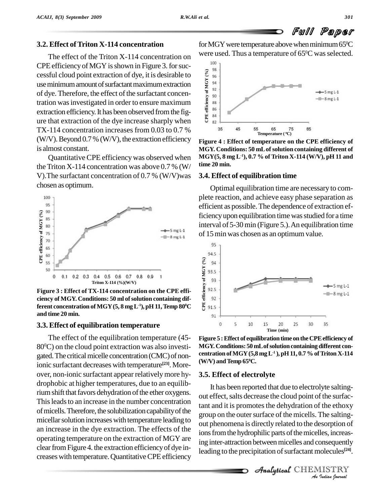## **3.2. Effect ofTriton X-114 concentration**

The effect of the Triton X-114 concentration on  $\frac{\text{Were U}}{100}$ CPE efficiency of MGY is shown in Figure 3. for succharacterized by the cessful cloud point extraction of dye, it is desirable to  $\frac{1}{2}$ use minimum amount of surfactant maximum extraction of dye. Therefore, the effect of the surfactant concentration was investigated in order to ensure maximum<br>extraction of eigensy these hear absenced from the fig. extraction efficiency. It has been observed from the figure that extraction of the dve increase sharply when Extraction efficiency. That been observed from the rig-<br>ure that extraction of the dye increase sharply when  $\frac{8}{6}$ TX-114 concentration increases from 0.03 to 0.7  $\%$  35 45 (W/V).Beyond 0.7 % (W/V), the extraction efficiency is almost constant.

QuantitativeCPE efficiencywas observed when the Triton X-114 concentration was above  $0.7\%$  (W/ V).The surfactant concentration of 0.7 % (W/V)was chosen as optimum.



**Figure 3 : Effect of TX-114 concentration on the CPE effi ciency** of MGY. Conditions: **50 m**l of solution containing different concentration of MGY (**5**, 8 **mg** L<sup>-1</sup>), pH 11, Temp 80<sup>°</sup>C  $\bullet$  **ferent concentration of MGY (5, 8**  $\textbf{mg}\, \textbf{L}^{\text{-}1}$ **),**  $\textbf{pH}\, \textbf{11}$ **, Temp**  $\textbf{80}^{\text{o}}\textbf{C}=\frac{\textbf{g}}{\text{N}}\text{m}$ **and time 20 min.**

### **3.3. Effect of equilibration temperature**

The effect of the equilibration temperature (45- 80<sup>o</sup>C) on the cloud point extraction was also investi- MG gated. The critical micelle concentration (CMC) of nonionic surfactant decreases with temperature **[23]**. More over, non-ionic surfactant appear relativelymore hy drophobic at higher temperatures, due to an equilibrium shift that favors dehydration of the ether oxygens. This leads to an increase in the number concentration of micells. Therefore, the solubilization capability of the micellar solution increases with temperature leading to an increase in the dye extraction. The effects of the operating temperature on the extraction of MGY are clear from Figure 4. the extraction efficiency of dye increases with temperature. Quantitative CPE efficiency

for MGY were temperature above when minimum 65 $^{\rm o}\!{\rm C}$ were used. Thus a temperature of 65 $^{\rm o}{\rm C}$  was selected.



**Figure 4 : Effect of temperature on the CPE efficiency of MGY. Conditions: 50 mLofsolution containing different of MGY(5, 8 mg L -1),0.7 % of Triton X-114 (W/V), pH 11 and time 20 min.**

#### **3.4. Effect of equilibration time**

Optimal equilibration time are necessary to com plete reaction, and achieve easy phase separation as efficient as possible.The dependence of extraction efficiency upon equilibration time was studied for a time interval of 5-30min (Figure 5.).An equilibration time of 15min was chosen as an optimum value.



**Figure 5 :Effect of equilibrationtime on the CPEefficiency of MGY. Conditions: 50 mLofsolutioncontaining different con centration ofMGY(5,8 mgL -1 ),pH 11, 0.7%ofTriton X-114**  $(W/V)$  and Temp  $65^{\circ}$ C.

#### **3.5. Effect of electrolyte**

out phenomena is directly related to the desorption of *Indian*<br>*Indian*<br>*IISTRY*<br>*IISTRY*<br>*Indian bouvaal* It has been reported that due to electrolyte salting out effect, salts decrease the cloud point of the surfactant and it is promotes the dehydration of the ethoxy group on the outer surface of the micells. The saltingions from the hydrophilic parts of the micelles, increasing inter-attraction between micelles and consequently leading to the precipitation of surfactant molecules<sup>[24]</sup>.

**Analytical** CHEMISTRY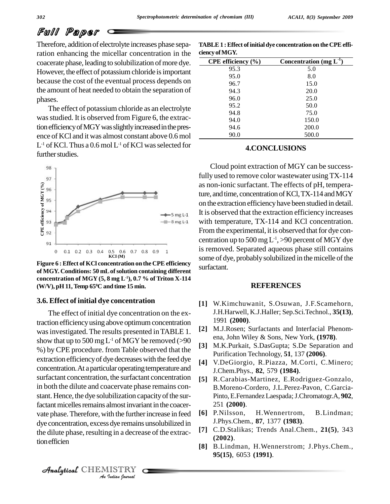# Full Paper

Therefore, addition of electrolyte increases phase separation enhancing the micellar concentration in the coacerate phase, leading to solubilization of more dye. However, the effect of potassium chloride is important because the cost of the eventual process depends on the amount of heat needed to obtain the separation of phases.

The effect of potassium chloride as an electrolyte was studied. It is observed from Figure 6, the extractionefficiencyofMGYwasslightlyincreasedinthepres ence of KCl and it was almost constant above 0.6 mol  $\mathrm{L}^{\text{-1}}$  of KCl. Thus a  $0.6$  mol  $\mathrm{L}^{\text{-1}}$  of KCl was selected for further studies.



**Figure** 6 **: Effect** of **KCl concentration** on the CPE efficiency **of MGY. Conditions: 50 mLofsolution containing different concentration of MGY (5, 8 mg L -1), 0.7 % of Triton X-114 (W/V), pH 11,Temp 65 <sup>0</sup>C and time 15 min.**

## **3.6. Effect of initial dye concentration**

 $\mathcal{A}$ nalytical  $\mathbb{CHEMISTRY}$ 

dye concentration, excess dye remains unsolubilized in *I*s dye remains<br>Ig in a decrea<br>IISTRY<br>*Indian Iournal* The effect of initial dye concentration on the extraction efficiencyusingabove optimumconcentration was investigated. The results presented in TABLE 1. show that up to 500 mg L<sup>-1</sup> of MGY be removed (>90  $\frac{e^{H}}{12}$ %) by CPE procedure. from Table observed that the extraction efficiency of dye decreases with the feed dye concentration. At a particular operating temperature and surfactant concentration, the surfactant concentration in both the dilute and coacervate phase remains con stant. Hence, the dye solubilization capacity of the surfactant micelles remains almost invariant in the coacervate phase. Therefore, with the further increase in feed [6] P. Nilsson, the dilute phase, resulting in a decrease of the extractionefficien

| TABLE 1 : Effect of initial dye concentration on the CPE effi- |  |
|----------------------------------------------------------------|--|
| ciency of MGY.                                                 |  |

| CPE efficiency $(\% )$ | Concentration (mg $L^{-1}$ ) |
|------------------------|------------------------------|
| 95.3                   | 5.0                          |
| 95.0                   | 8.0                          |
| 96.7                   | 15.0                         |
| 94.3                   | 20.0                         |
| 96.0                   | 25.0                         |
| 95.2                   | 50.0                         |
| 94.8                   | 75.0                         |
| 94.0                   | 150.0                        |
| 94.6                   | 200.0                        |
| 90.0                   | 500.0                        |

## **4.CONCLUSIONS**

Cloud point extraction of MGY canbe successfully used to remove color wastewater usingTX-114 as non-ionic surfactant. The effects of pH, temperature, and time, concentration of KCl, TX-114 and MGY on the extraction efficiencyhave been studied in detail. It is observed that the extraction efficiency increases with temperature, TX-114 and KCl concentration. From the experimental, it is observed that for dye concentration up to 500 mg  $\mathrm{L}^{\text{-}1}$ , >90 percent of MGY dye is removed. Separated aqueous phase still contains some of dye, probably solubilized in the micelle of the surfactant.

## **REFERENCES**

- **[1]** W.Kimchuwanit, S.Osuwan, J.F.Scamehorn, J.H.Harwell, K.J.Haller; Sep.Sci.Technol., **35(13)**, 1991 **(2000)**.
- **[2]** M.J.Rosen; Surfactants and Interfacial Phenom ena, John Wiley & Sons, New York, **(1978)**.
- **[3]** M.K.Purkait, S.DasGupta; S.De Separation and Purification Technology, **51**, 137 **(2006)**.
- **[4]** V.DeGiorgio, R.Piazza, M.Corti, C.Minero; J.Chem.Phys., **82**, 579 **(1984)**.
- **[5]** R.Carabias-Martinez, E.Rodriguez-Gonzalo, B.Moreno-Cordero, J.L.Perez-Pavon, C.Garcia- Pinto, E.FernandezLaespada;J.Chromatogr.A, **902**, 251 **(2000)**.
- H. Wennertrom, B. Lindman; J.Phys.Chem., **87**, 1377 **(1983)**.
- **[7]** C.D.Stalikas; Trends Anal.Chem., **21(5)**, 343 **(2002)**.
- **[8]** B.Lindman, H.Wennerstrom; J.Phys.Chem., **95(15)**, 6053 **(1991)**.